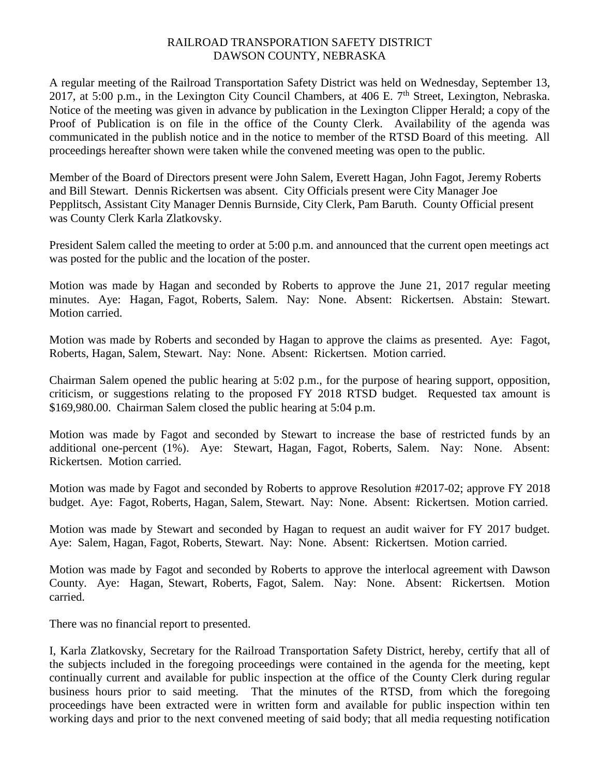## RAILROAD TRANSPORATION SAFETY DISTRICT DAWSON COUNTY, NEBRASKA

A regular meeting of the Railroad Transportation Safety District was held on Wednesday, September 13, 2017, at 5:00 p.m., in the Lexington City Council Chambers, at 406 E. 7<sup>th</sup> Street, Lexington, Nebraska. Notice of the meeting was given in advance by publication in the Lexington Clipper Herald; a copy of the Proof of Publication is on file in the office of the County Clerk. Availability of the agenda was communicated in the publish notice and in the notice to member of the RTSD Board of this meeting. All proceedings hereafter shown were taken while the convened meeting was open to the public.

Member of the Board of Directors present were John Salem, Everett Hagan, John Fagot, Jeremy Roberts and Bill Stewart. Dennis Rickertsen was absent. City Officials present were City Manager Joe Pepplitsch, Assistant City Manager Dennis Burnside, City Clerk, Pam Baruth. County Official present was County Clerk Karla Zlatkovsky.

President Salem called the meeting to order at 5:00 p.m. and announced that the current open meetings act was posted for the public and the location of the poster.

Motion was made by Hagan and seconded by Roberts to approve the June 21, 2017 regular meeting minutes. Aye: Hagan, Fagot, Roberts, Salem. Nay: None. Absent: Rickertsen. Abstain: Stewart. Motion carried.

Motion was made by Roberts and seconded by Hagan to approve the claims as presented. Aye: Fagot, Roberts, Hagan, Salem, Stewart. Nay: None. Absent: Rickertsen. Motion carried.

Chairman Salem opened the public hearing at 5:02 p.m., for the purpose of hearing support, opposition, criticism, or suggestions relating to the proposed FY 2018 RTSD budget. Requested tax amount is \$169,980.00. Chairman Salem closed the public hearing at 5:04 p.m.

Motion was made by Fagot and seconded by Stewart to increase the base of restricted funds by an additional one-percent (1%). Aye: Stewart, Hagan, Fagot, Roberts, Salem. Nay: None. Absent: Rickertsen. Motion carried.

Motion was made by Fagot and seconded by Roberts to approve Resolution #2017-02; approve FY 2018 budget. Aye: Fagot, Roberts, Hagan, Salem, Stewart. Nay: None. Absent: Rickertsen. Motion carried.

Motion was made by Stewart and seconded by Hagan to request an audit waiver for FY 2017 budget. Aye: Salem, Hagan, Fagot, Roberts, Stewart. Nay: None. Absent: Rickertsen. Motion carried.

Motion was made by Fagot and seconded by Roberts to approve the interlocal agreement with Dawson County. Aye: Hagan, Stewart, Roberts, Fagot, Salem. Nay: None. Absent: Rickertsen. Motion carried.

There was no financial report to presented.

I, Karla Zlatkovsky, Secretary for the Railroad Transportation Safety District, hereby, certify that all of the subjects included in the foregoing proceedings were contained in the agenda for the meeting, kept continually current and available for public inspection at the office of the County Clerk during regular business hours prior to said meeting. That the minutes of the RTSD, from which the foregoing proceedings have been extracted were in written form and available for public inspection within ten working days and prior to the next convened meeting of said body; that all media requesting notification